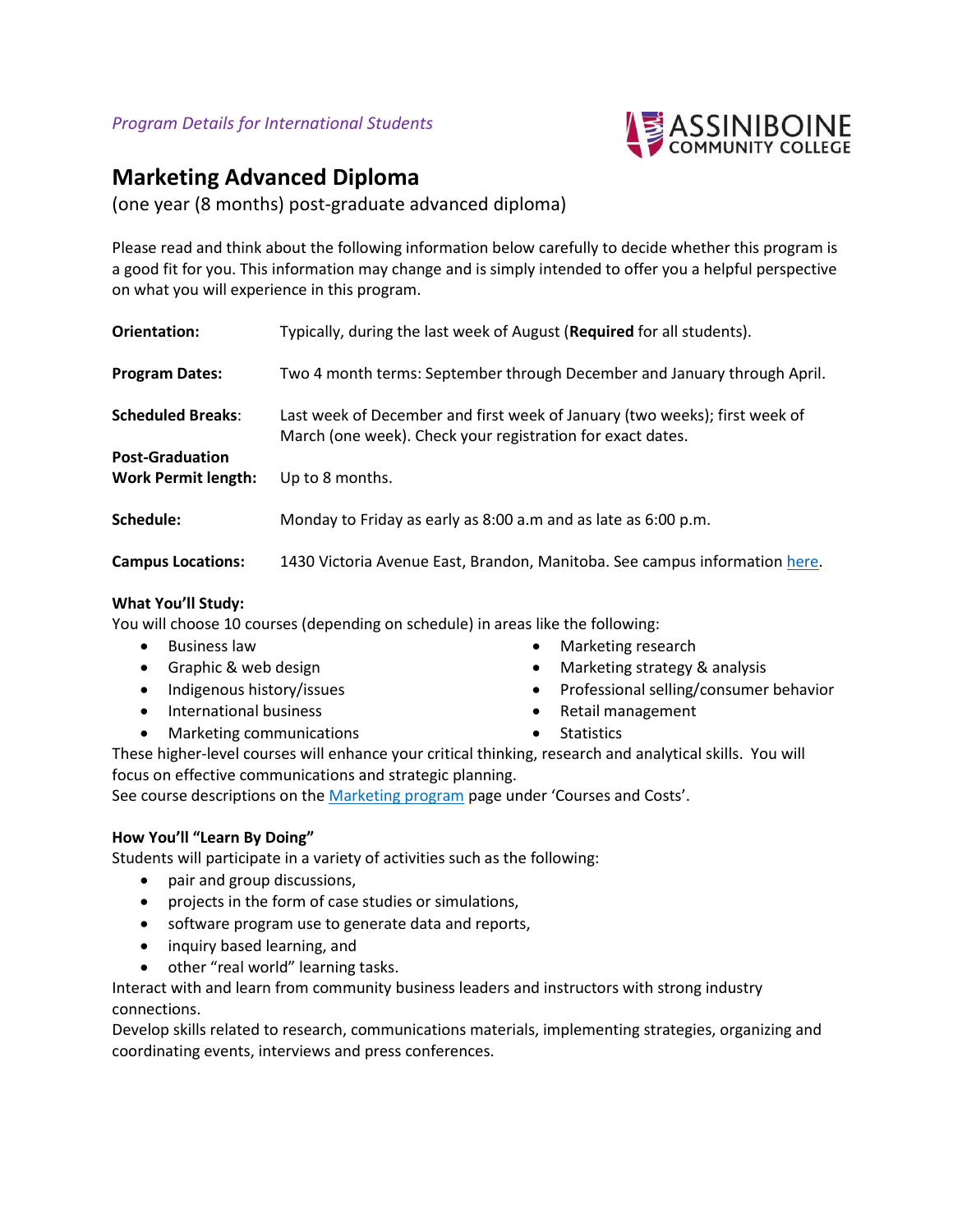

# **Marketing Advanced Diploma**

(one year (8 months) post-graduate advanced diploma)

Please read and think about the following information below carefully to decide whether this program is a good fit for you. This information may change and is simply intended to offer you a helpful perspective on what you will experience in this program.

| Orientation:                                         | Typically, during the last week of August (Required for all students).                                                                   |
|------------------------------------------------------|------------------------------------------------------------------------------------------------------------------------------------------|
| <b>Program Dates:</b>                                | Two 4 month terms: September through December and January through April.                                                                 |
| <b>Scheduled Breaks:</b>                             | Last week of December and first week of January (two weeks); first week of<br>March (one week). Check your registration for exact dates. |
| <b>Post-Graduation</b><br><b>Work Permit length:</b> | Up to 8 months.                                                                                                                          |
| Schedule:                                            | Monday to Friday as early as 8:00 a.m and as late as 6:00 p.m.                                                                           |
| <b>Campus Locations:</b>                             | 1430 Victoria Avenue East, Brandon, Manitoba. See campus information here.                                                               |

## **What You'll Study:**

You will choose 10 courses (depending on schedule) in areas like the following:

- Business law
- Graphic & web design
- Indigenous history/issues
- International business
- Marketing communications
- Marketing research
- Marketing strategy & analysis
- Professional selling/consumer behavior
- Retail management
- Statistics

These higher-level courses will enhance your critical thinking, research and analytical skills. You will focus on effective communications and strategic planning.

See course descriptions on the [Marketing program](https://assiniboine.net/programs/marketing) page under 'Courses and Costs'.

## **How You'll "Learn By Doing"**

Students will participate in a variety of activities such as the following:

- pair and group discussions,
- projects in the form of case studies or simulations,
- software program use to generate data and reports,
- inquiry based learning, and
- other "real world" learning tasks.

Interact with and learn from community business leaders and instructors with strong industry connections.

Develop skills related to research, communications materials, implementing strategies, organizing and coordinating events, interviews and press conferences.